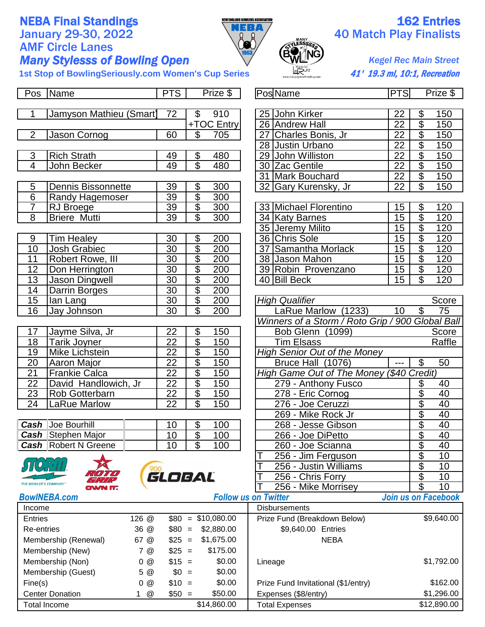## AMF Circle Lanes **Many Stylesss of Bowling Open** *Kegel Rec Main Street*



## **NEBA Final Standings 162 Entries**<br>January 29-30, 2022<br> $\begin{array}{c|c}\n\hline\n\text{NEBA} & 40 \text{ Match Play Find lists}\n\end{array}$ **January 20 Match Play Finalists**

1st Stop of BowlingSeriously.com Women's Cup Series **41'** 19.3 ml, 10:1, Recreation

|                     | Pos Name                               | <b>PTS</b>      |                                   | Prize \$                    |  | PosName                                          | <b>PTS</b>      |                          | Prize \$            |  |
|---------------------|----------------------------------------|-----------------|-----------------------------------|-----------------------------|--|--------------------------------------------------|-----------------|--------------------------|---------------------|--|
| 1                   | Jamyson Mathieu (Smart)                | 72              | $\mathfrak{S}$                    | 910                         |  | 25 John Kirker                                   | 22              | \$                       | 150                 |  |
|                     |                                        |                 |                                   | +TOC Entry                  |  | 26 Andrew Hall                                   | $\overline{22}$ | \$                       | 150                 |  |
| $\overline{2}$      | Jason Cornog                           | 60              | \$                                | 705                         |  | 27 Charles Bonis, Jr                             | 22              | $\overline{\mathcal{L}}$ | 150                 |  |
|                     |                                        |                 |                                   |                             |  | 28 Justin Urbano                                 | $\overline{22}$ | $\overline{\$}$          | 150                 |  |
| 3                   | <b>Rich Strath</b>                     | 49              | $\overline{\mathcal{G}}$          | 480                         |  | 29 John Williston                                | $\overline{22}$ | $\overline{\theta}$      | 150                 |  |
| 4                   | John Becker                            | 49              | $\overline{\$}$                   | 480                         |  | 30 Zac Gentile                                   | $\overline{22}$ | $\overline{\$}$          | 150                 |  |
|                     |                                        |                 |                                   |                             |  | 31 Mark Bouchard                                 | 22              | $\overline{\$}$          | 150                 |  |
| 5                   | <b>Dennis Bissonnette</b>              | 39              | \$                                | 300                         |  | 32 Gary Kurensky, Jr                             | $\overline{22}$ | $\overline{\mathcal{S}}$ | 150                 |  |
| $\overline{6}$      | <b>Randy Hagemoser</b>                 | 39              | $\overline{\$}$                   | 300                         |  |                                                  |                 |                          |                     |  |
| $\overline{7}$      | RJ Broege                              | $\overline{39}$ | $\overline{\$}$                   | 300                         |  | 33 Michael Florentino                            | 15              | \$                       | 120                 |  |
| $\overline{8}$      | <b>Briere Mutti</b>                    | 39              | $\overline{\mathbb{S}}$           | 300                         |  | 34 Katy Barnes                                   | $\overline{15}$ | $\overline{\$}$          | 120                 |  |
|                     |                                        |                 |                                   |                             |  | 35 Jeremy Milito                                 | 15              | $\overline{\$}$          | 120                 |  |
| 9                   | <b>Tim Healey</b>                      | 30              | \$                                | 200                         |  | 36 Chris Sole                                    | $\overline{15}$ | $\overline{\$}$          | 120                 |  |
| $\overline{10}$     | <b>Josh Grabiec</b>                    | $\overline{30}$ | $\overline{\$}$                   | 200                         |  | 37<br>Samantha Morlack                           | $\overline{15}$ | $\overline{\mathcal{C}}$ | 120                 |  |
| $\overline{11}$     | Robert Rowe, III                       | $\overline{30}$ | $\overline{\$}$                   | 200                         |  | 38 Jason Mahon                                   | 15              | $\overline{\$}$          | 120                 |  |
| 12                  | Don Herrington                         | $\overline{30}$ | $\overline{\$}$                   | 200                         |  | 39 Robin Provenzano                              | 15              | $\overline{\mathcal{E}}$ | 120                 |  |
| 13                  | <b>Jason Dingwell</b>                  | $\overline{30}$ | $\frac{1}{3}$                     | 200                         |  | 40 Bill Beck                                     | 15              | $\overline{\mathcal{S}}$ | 120                 |  |
| 14                  | Darrin Borges                          | $\overline{30}$ |                                   | 200                         |  |                                                  |                 |                          |                     |  |
| 15                  | lan Lang                               | $\overline{30}$ | $\overline{\$}$                   | 200                         |  | <b>High Qualifier</b>                            |                 |                          | Score               |  |
| $\overline{16}$     | Jay Johnson                            | $\overline{30}$ | $\overline{\mathbb{S}}$           | 200                         |  | LaRue Marlow (1233)                              | 10              | \$                       | 75                  |  |
|                     |                                        |                 |                                   |                             |  | Winners of a Storm / Roto Grip / 900 Global Ball |                 |                          |                     |  |
| 17                  | Jayme Silva, Jr                        | 22              | $\overline{\$}$                   | 150                         |  | Bob Glenn (1099)                                 |                 |                          | Score               |  |
| 18                  | $\overline{22}$<br><b>Tarik Joyner</b> |                 | $\overline{\$}$                   | 150                         |  | <b>Tim Elsass</b>                                |                 |                          | Raffle              |  |
| 19                  | Mike Lichstein                         | $\overline{22}$ | $\overline{\$}$                   | 150                         |  | <b>High Senior Out of the Money</b>              |                 |                          |                     |  |
| 20                  | Aaron Major                            | $\overline{22}$ | $\overline{\$}$                   | 150                         |  | Bruce Hall (1076)<br>$\overline{a}$              |                 | \$                       | 50                  |  |
| 21                  | <b>Frankie Calca</b>                   | $\overline{22}$ | $\overline{\$}$                   | 150                         |  | High Game Out of The Money (\$40 Credit)         |                 |                          |                     |  |
| 22                  | David Handlowich, Jr                   | $\overline{22}$ | $\overline{\$}$                   | 150                         |  | 279 - Anthony Fusco                              |                 | \$                       | 40                  |  |
| $\overline{23}$     | Rob Gotterbarn                         | $\overline{22}$ | $\overline{\$}$                   | 150                         |  | $278$ - Eric Cornog                              |                 | \$                       | 40                  |  |
| $\overline{24}$     | LaRue Marlow                           | $\overline{22}$ | \$                                | 150                         |  | 276 - Joe Ceruzzi                                |                 | $\overline{\$}$          | 40                  |  |
|                     |                                        |                 |                                   |                             |  | 269 - Mike Rock Jr                               |                 | $\frac{1}{\sqrt{2}}$     | 40                  |  |
|                     | <b>Cash</b> Joe Bourhill               | 10              | \$                                | 100                         |  | 268 - Jesse Gibson                               |                 |                          | 40                  |  |
|                     | <b>Cash</b> Stephen Major              | $\overline{10}$ | $\overline{\$}$                   | 100                         |  | 266 - Joe DiPetto                                |                 | $\overline{\$}$          | 40                  |  |
|                     | <b>Cash</b> Robert N Greene            | 10              | $\overline{\mathbb{S}}$           | 100                         |  | 260 - Joe Scianna                                |                 | \$                       | 40                  |  |
|                     |                                        |                 |                                   |                             |  | 256 - Jim Ferguson                               |                 | \$                       | 10                  |  |
|                     |                                        |                 |                                   |                             |  | 256 - Justin Williams                            |                 | \$                       | 10                  |  |
|                     | THE BOWLER'S COMPANY                   | GLOBAL          |                                   |                             |  | 256 - Chris Forry                                |                 | \$                       | 10                  |  |
|                     | N IT.                                  |                 |                                   |                             |  | 256 - Mike Morrisey                              |                 | $\overline{\mathcal{S}}$ | 10                  |  |
|                     | <b>BowINEBA.com</b>                    |                 |                                   | <b>Follow us on Twitter</b> |  |                                                  |                 |                          | Join us on Facebook |  |
| Income              |                                        |                 |                                   |                             |  | <b>Disbursements</b>                             |                 |                          |                     |  |
|                     | 126 @<br><b>Entries</b>                |                 | \$10,080.00<br>$$80 =$<br>$$80 =$ |                             |  | Prize Fund (Breakdown Below)                     |                 |                          | \$9,640.00          |  |
|                     | 36 @<br>Re-entries                     |                 | \$2,880.00<br>$$25 =$             |                             |  | \$9,640.00 Entries                               |                 |                          |                     |  |
|                     | Membership (Renewal)<br>67 @           |                 |                                   | \$1,675.00                  |  | <b>NEBA</b>                                      |                 |                          |                     |  |
|                     | Membership (New)<br>7 @                |                 | $$25 =$                           | \$175.00                    |  |                                                  |                 |                          |                     |  |
|                     | Membership (Non)<br>0@                 |                 | $$15 =$                           | \$0.00                      |  | Lineage                                          |                 |                          | \$1,792.00          |  |
|                     | Membership (Guest)<br>5 @              |                 | $$0 =$                            | \$0.00                      |  |                                                  |                 |                          |                     |  |
|                     | Fine(s)<br>0@                          |                 | $$10 =$                           | \$0.00                      |  | Prize Fund Invitational (\$1/entry)              |                 |                          | \$162.00            |  |
|                     | <b>Center Donation</b><br>@<br>1       |                 | $$50 =$                           | \$50.00                     |  | Expenses (\$8/entry)                             |                 |                          | \$1,296.00          |  |
| <b>Total Income</b> |                                        |                 | \$14,860.00                       |                             |  | <b>Total Expenses</b>                            | \$12,890.00     |                          |                     |  |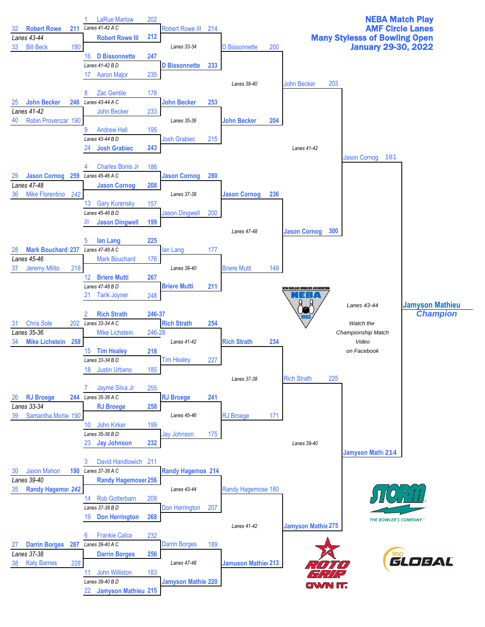